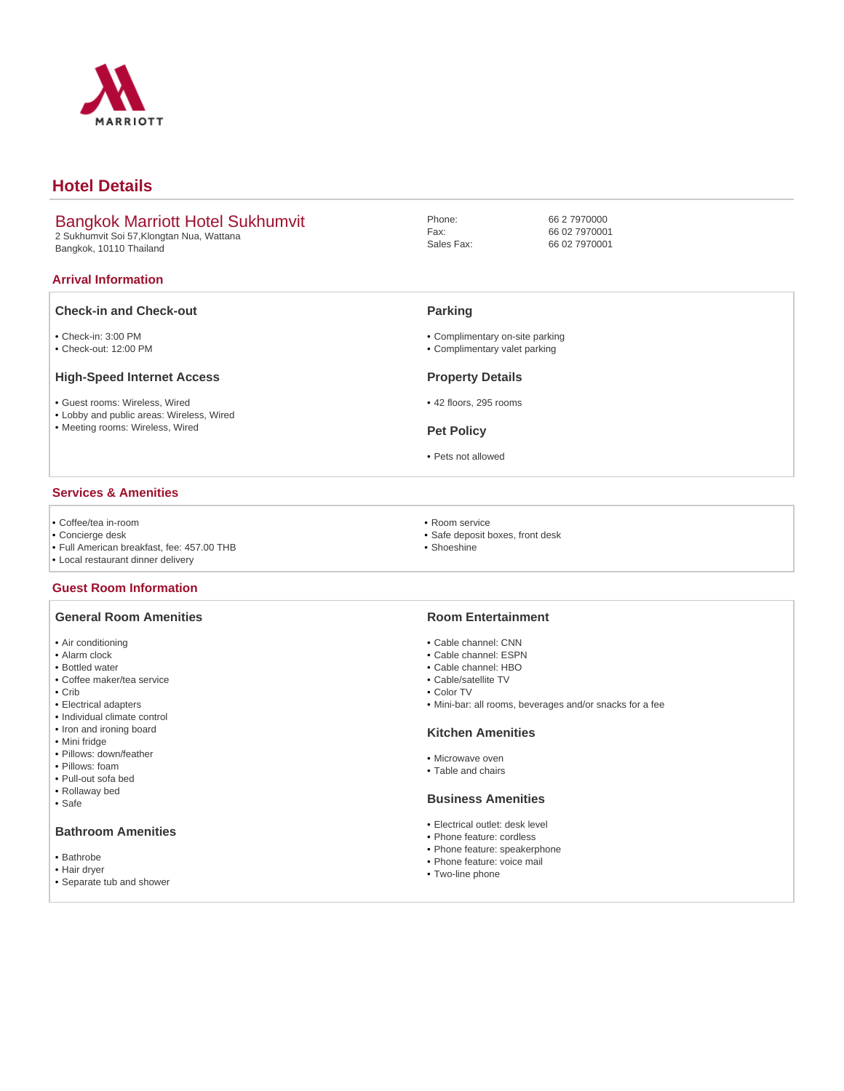

# **Hotel Details**

# Bangkok Marriott Hotel Sukhumvit

2 Sukhumvit Soi 57,Klongtan Nua, Wattana Bangkok, 10110 Thailand

### **Arrival Information**

## **Check-in and Check-out**

- Check-in: 3:00 PM
- Check-out: 12:00 PM

#### **High-Speed Internet Access**

- Guest rooms: Wireless, Wired
- Lobby and public areas: Wireless, Wired
- Meeting rooms: Wireless, Wired

### **Services & Amenities**

- Coffee/tea in-room
- Concierge desk
- Full American breakfast, fee: 457.00 THB
- Local restaurant dinner delivery

## **Guest Room Information**

### **General Room Amenities**

- Air conditioning
- Alarm clock
- Bottled water
- Coffee maker/tea service
- Crib
- Electrical adapters
- Individual climate control
- Iron and ironing board • Mini fridge
- Pillows: down/feather
- Pillows: foam
- Pull-out sofa bed
- Rollaway bed
- Safe

### **Bathroom Amenities**

- Bathrobe
- Hair dryer
- Separate tub and shower
- 
- Room service
- Safe deposit boxes, front desk
- Shoeshine

#### **Room Entertainment**

- Cable channel: CNN
- Cable channel: ESPN
- Cable channel: HBO
- Cable/satellite TV
- Color TV
- Mini-bar: all rooms, beverages and/or snacks for a fee

#### **Kitchen Amenities**

- Microwave oven
- Table and chairs

### **Business Amenities**

- Electrical outlet: desk level
- Phone feature: cordless
- Phone feature: speakerphone
- Phone feature: voice mail
- Two-line phone

66 2 7970000 66 02 7970001 66 02 7970001

## **Parking**

Phone: Fax: Sales Fax:

- Complimentary on-site parking
- Complimentary valet parking

#### **Property Details**

- 42 floors, 295 rooms
- **Pet Policy**
- Pets not allowed
- - -
		-
- -
	-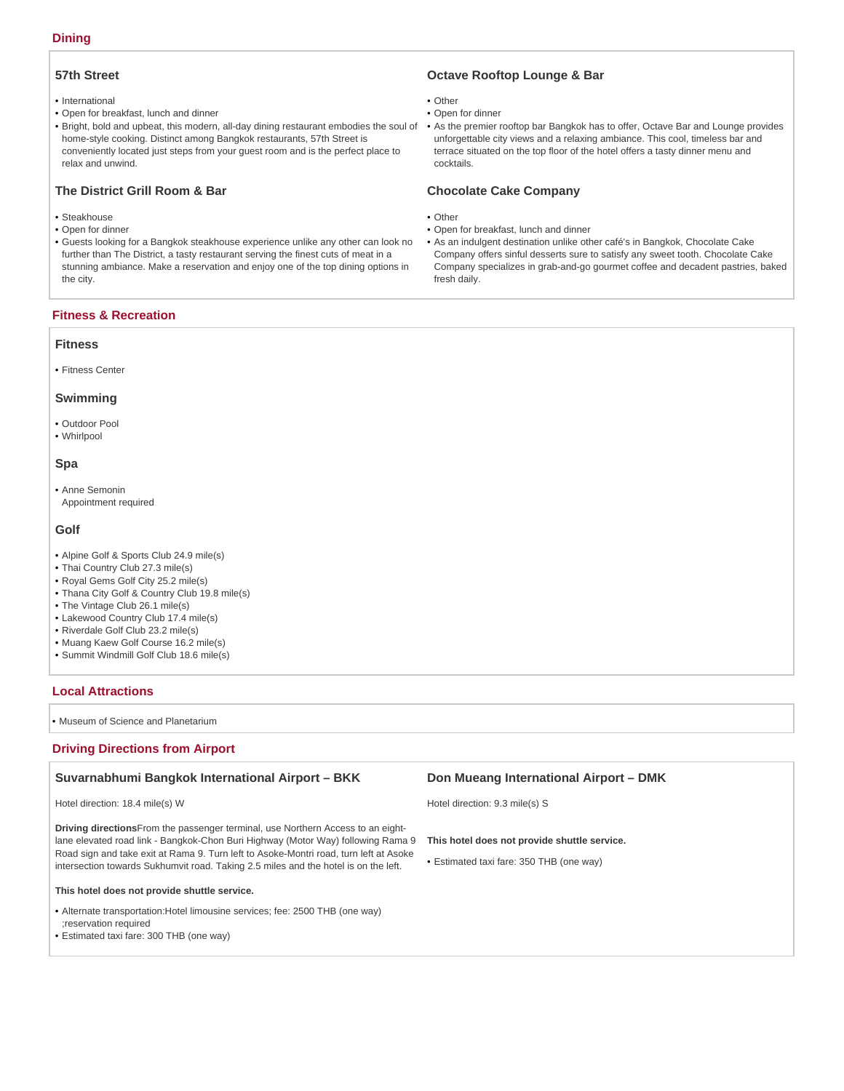## **Dining**

## **57th Street**

- International
- Open for breakfast, lunch and dinner
- Bright, bold and upbeat, this modern, all-day dining restaurant embodies the soul of home-style cooking. Distinct among Bangkok restaurants, 57th Street is conveniently located just steps from your guest room and is the perfect place to relax and unwind.

## **The District Grill Room & Bar**

- Steakhouse
- Open for dinner
- Guests looking for a Bangkok steakhouse experience unlike any other can look no further than The District, a tasty restaurant serving the finest cuts of meat in a stunning ambiance. Make a reservation and enjoy one of the top dining options in the city.

### **Fitness & Recreation**

#### **Fitness**

• Fitness Center

#### **Swimming**

- Outdoor Pool
- Whirlpool

#### **Spa**

Anne Semonin • Appointment required

#### **Golf**

- Alpine Golf & Sports Club 24.9 mile(s)
- Thai Country Club 27.3 mile(s)
- Royal Gems Golf City 25.2 mile(s)
- Thana City Golf & Country Club 19.8 mile(s)
- The Vintage Club 26.1 mile(s)
- Lakewood Country Club 17.4 mile(s)
- Riverdale Golf Club 23.2 mile(s)
- Muang Kaew Golf Course 16.2 mile(s)
- Summit Windmill Golf Club 18.6 mile(s)

### **Local Attractions**

• Museum of Science and Planetarium

## **Driving Directions from Airport**

### **Suvarnabhumi Bangkok International Airport – BKK**

#### Hotel direction: 18.4 mile(s) W

**Driving directions**From the passenger terminal, use Northern Access to an eightlane elevated road link - Bangkok-Chon Buri Highway (Motor Way) following Rama 9 Road sign and take exit at Rama 9. Turn left to Asoke-Montri road, turn left at Asoke intersection towards Sukhumvit road. Taking 2.5 miles and the hotel is on the left.

#### **This hotel does not provide shuttle service.**

• Alternate transportation: Hotel limousine services; fee: 2500 THB (one way) ;reservation required

• Estimated taxi fare: 300 THB (one way)

## **Octave Rooftop Lounge & Bar**

- Other
- Open for dinner
- As the premier rooftop bar Bangkok has to offer, Octave Bar and Lounge provides unforgettable city views and a relaxing ambiance. This cool, timeless bar and terrace situated on the top floor of the hotel offers a tasty dinner menu and cocktails.

## **Chocolate Cake Company**

- Other
- Open for breakfast, lunch and dinner
- As an indulgent destination unlike other café's in Bangkok, Chocolate Cake Company offers sinful desserts sure to satisfy any sweet tooth. Chocolate Cake Company specializes in grab-and-go gourmet coffee and decadent pastries, baked fresh daily.

### **Don Mueang International Airport – DMK**

Hotel direction: 9.3 mile(s) S

#### **This hotel does not provide shuttle service.**

• Estimated taxi fare: 350 THB (one way)